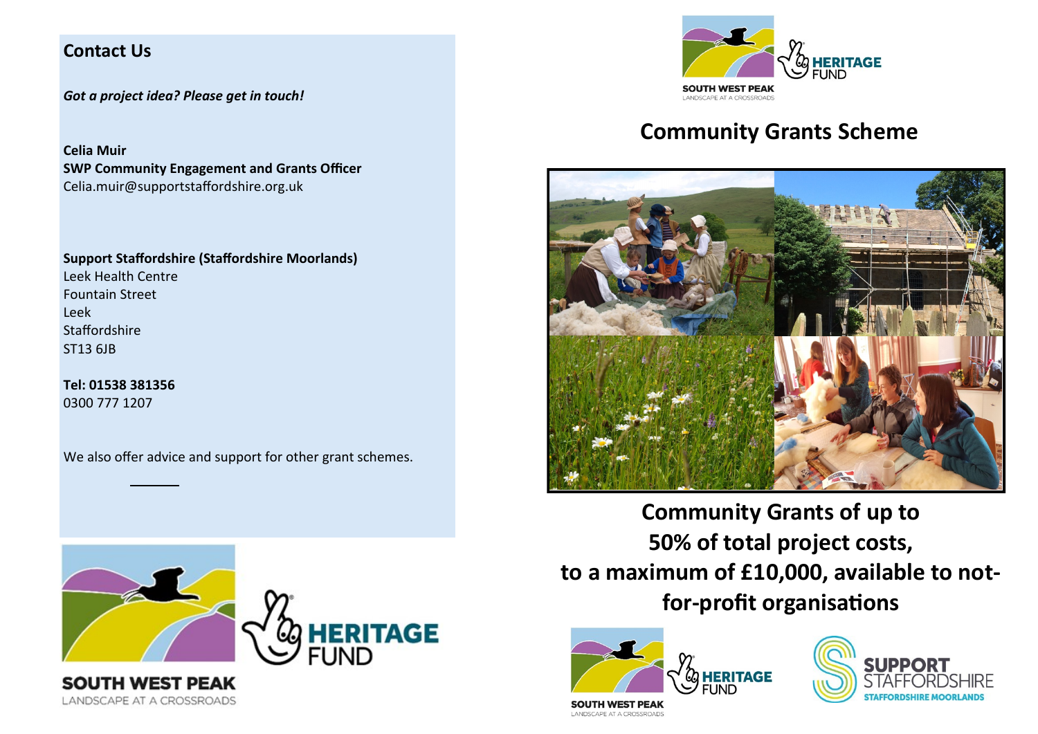## **Contact Us**

*Got a project idea? Please get in touch!*

**Celia Muir SWP Community Engagement and Grants Officer** Celia.muir@supportstaffordshire.org.uk

**Support Staffordshire (Staffordshire Moorlands)** Leek Health Centre Fountain Street Leek **Staffordshire** ST13 6JB

**Tel: 01538 381356**  0300 777 1207

LANDSCAPE AT A CROSSROADS

We also offer advice and support for other grant schemes.





# **Community Grants Scheme**



**Community Grants of up to 50% of total project costs, to a maximum of £10,000, available to notfor-profit organisations**





**SOUTH WEST PEAK** LANDSCAPE AT A CROSSROADS